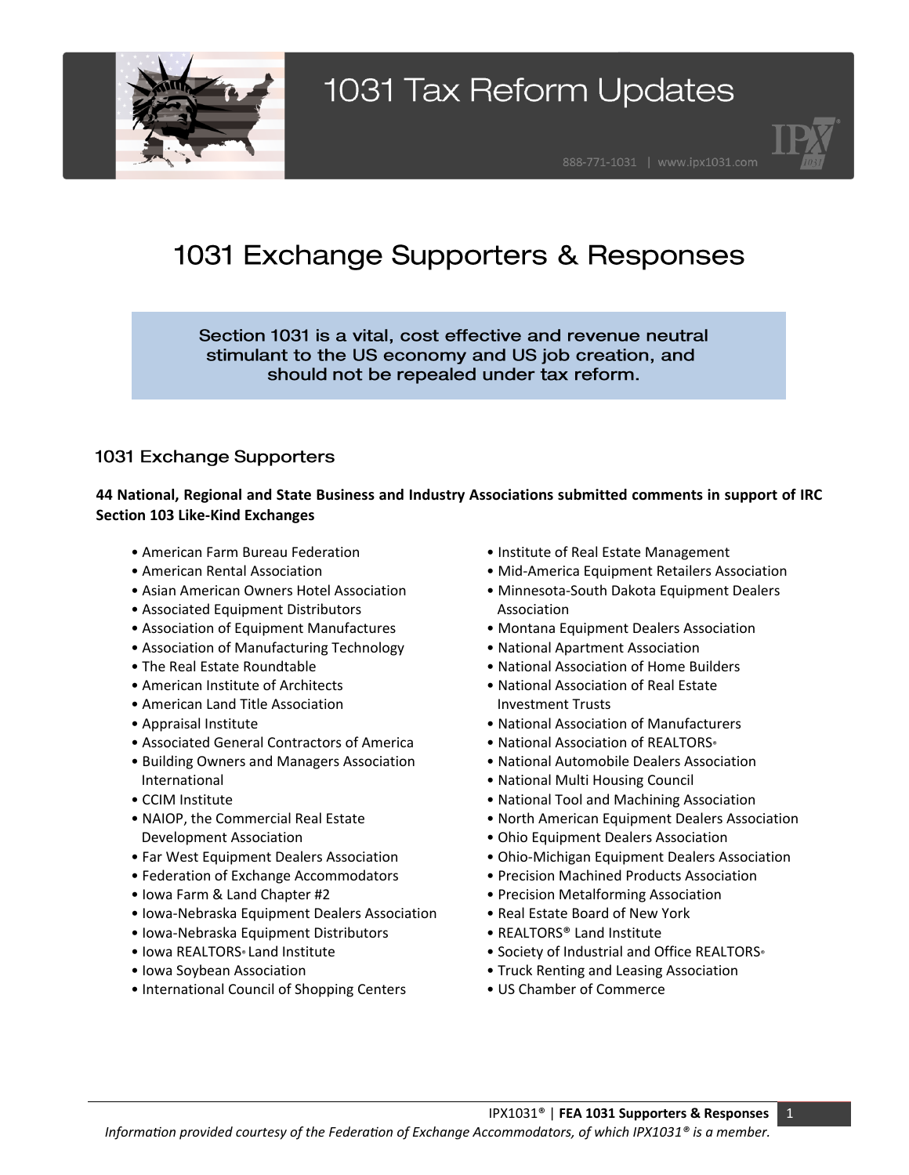



### 1031 Exchange Supporters & Responses

Section 1031 is a vital, cost effective and revenue neutral stimulant to the US economy and US job creation, and should not be repealed under tax reform.

### 1031 Exchange Supporters

#### **44 National, Regional and State Business and Industry Associations submitted comments in support of IRC Section 103 Like-Kind Exchanges**

- American Farm Bureau Federation
- American Rental Association
- Asian American Owners Hotel Association
- Associated Equipment Distributors
- Association of Equipment Manufactures
- Association of Manufacturing Technology
- The Real Estate Roundtable
- American Institute of Architects
- American Land Title Association
- Appraisal Institute
- Associated General Contractors of America
- Building Owners and Managers Association International
- CCIM Institute
- NAIOP, the Commercial Real Estate Development Association
- Far West Equipment Dealers Association
- Federation of Exchange Accommodators
- Iowa Farm & Land Chapter #2
- Iowa-Nebraska Equipment Dealers Association
- Iowa-Nebraska Equipment Distributors
- Iowa REALTORS<sup>®</sup> Land Institute
- Iowa Soybean Association
- International Council of Shopping Centers
- Institute of Real Estate Management
- Mid-America Equipment Retailers Association
- Minnesota-South Dakota Equipment Dealers Association
- Montana Equipment Dealers Association
- National Apartment Association
- National Association of Home Builders
- National Association of Real Estate Investment Trusts
- National Association of Manufacturers
- National Association of REALTORS®
- National Automobile Dealers Association
- National Multi Housing Council
- National Tool and Machining Association
- North American Equipment Dealers Association
- Ohio Equipment Dealers Association
- Ohio-Michigan Equipment Dealers Association
- Precision Machined Products Association
- Precision Metalforming Association
- Real Estate Board of New York
- REALTORS® Land Institute
- Society of Industrial and Office REALTORS®
- Truck Renting and Leasing Association
- US Chamber of Commerce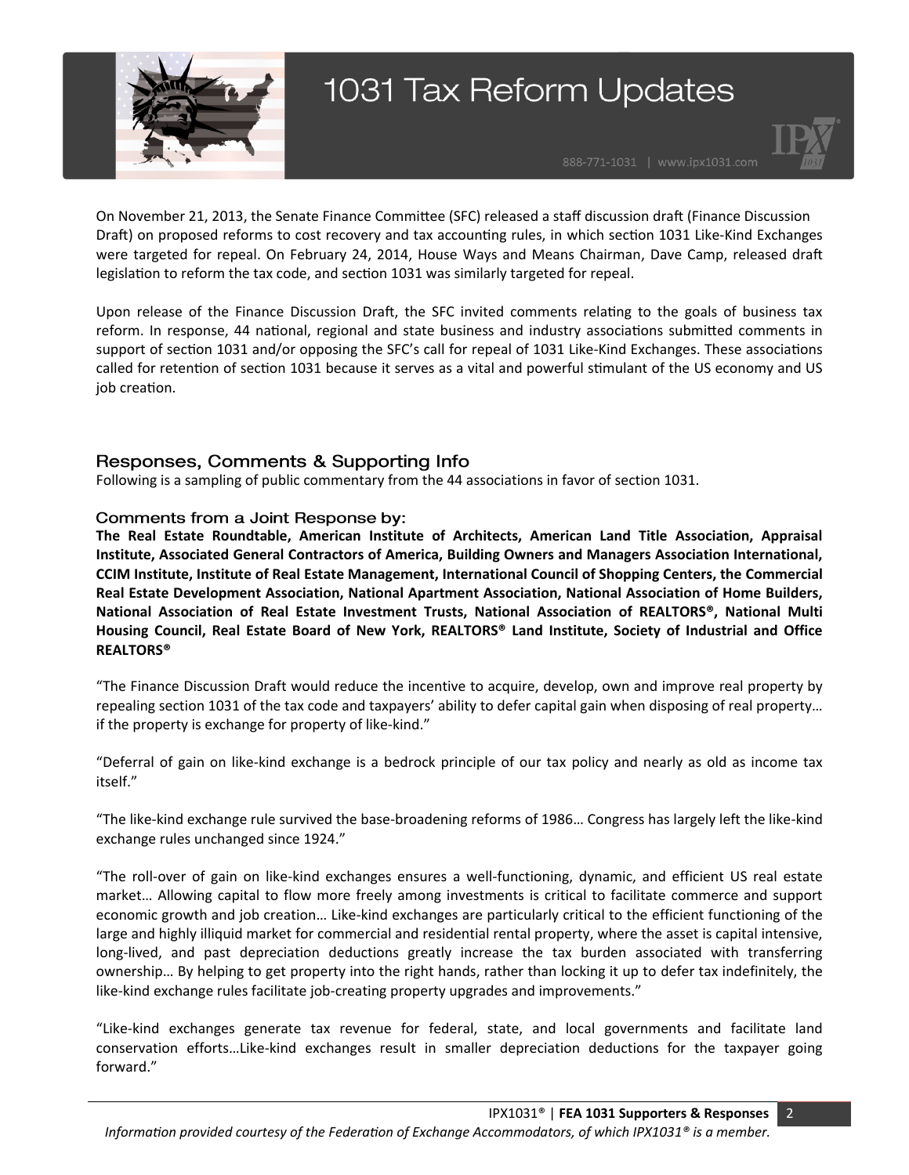



On November 21, 2013, the Senate Finance Committee (SFC) released a staff discussion draft (Finance Discussion Draft) on proposed reforms to cost recovery and tax accounting rules, in which section 1031 Like-Kind Exchanges were targeted for repeal. On February 24, 2014, House Ways and Means Chairman, Dave Camp, released draft legislation to reform the tax code, and section 1031 was similarly targeted for repeal.

Upon release of the Finance Discussion Draft, the SFC invited comments relating to the goals of business tax reform. In response, 44 national, regional and state business and industry associations submitted comments in support of section 1031 and/or opposing the SFC's call for repeal of 1031 Like-Kind Exchanges. These associations called for retention of section 1031 because it serves as a vital and powerful stimulant of the US economy and US job creation.

#### Responses, Comments & Supporting Info

Following is a sampling of public commentary from the 44 associations in favor of section 1031.

#### Comments from a Joint Response by:

**The Real Estate Roundtable, American Institute of Architects, American Land Title Association, Appraisal Institute, Associated General Contractors of America, Building Owners and Managers Association International, CCIM Institute, Institute of Real Estate Management, International Council of Shopping Centers, the Commercial Real Estate Development Association, National Apartment Association, National Association of Home Builders, National Association of Real Estate Investment Trusts, National Association of REALTORS®, National Multi Housing Council, Real Estate Board of New York, REALTORS® Land Institute, Society of Industrial and Office REALTORS®**

"The Finance Discussion Draft would reduce the incentive to acquire, develop, own and improve real property by repealing section 1031 of the tax code and taxpayers' ability to defer capital gain when disposing of real property… if the property is exchange for property of like-kind."

"Deferral of gain on like-kind exchange is a bedrock principle of our tax policy and nearly as old as income tax itself."

"The like-kind exchange rule survived the base-broadening reforms of 1986… Congress has largely left the like-kind exchange rules unchanged since 1924."

"The roll-over of gain on like-kind exchanges ensures a well-functioning, dynamic, and efficient US real estate market… Allowing capital to flow more freely among investments is critical to facilitate commerce and support economic growth and job creation… Like-kind exchanges are particularly critical to the efficient functioning of the large and highly illiquid market for commercial and residential rental property, where the asset is capital intensive, long-lived, and past depreciation deductions greatly increase the tax burden associated with transferring ownership… By helping to get property into the right hands, rather than locking it up to defer tax indefinitely, the like-kind exchange rules facilitate job-creating property upgrades and improvements."

"Like-kind exchanges generate tax revenue for federal, state, and local governments and facilitate land conservation efforts…Like-kind exchanges result in smaller depreciation deductions for the taxpayer going forward."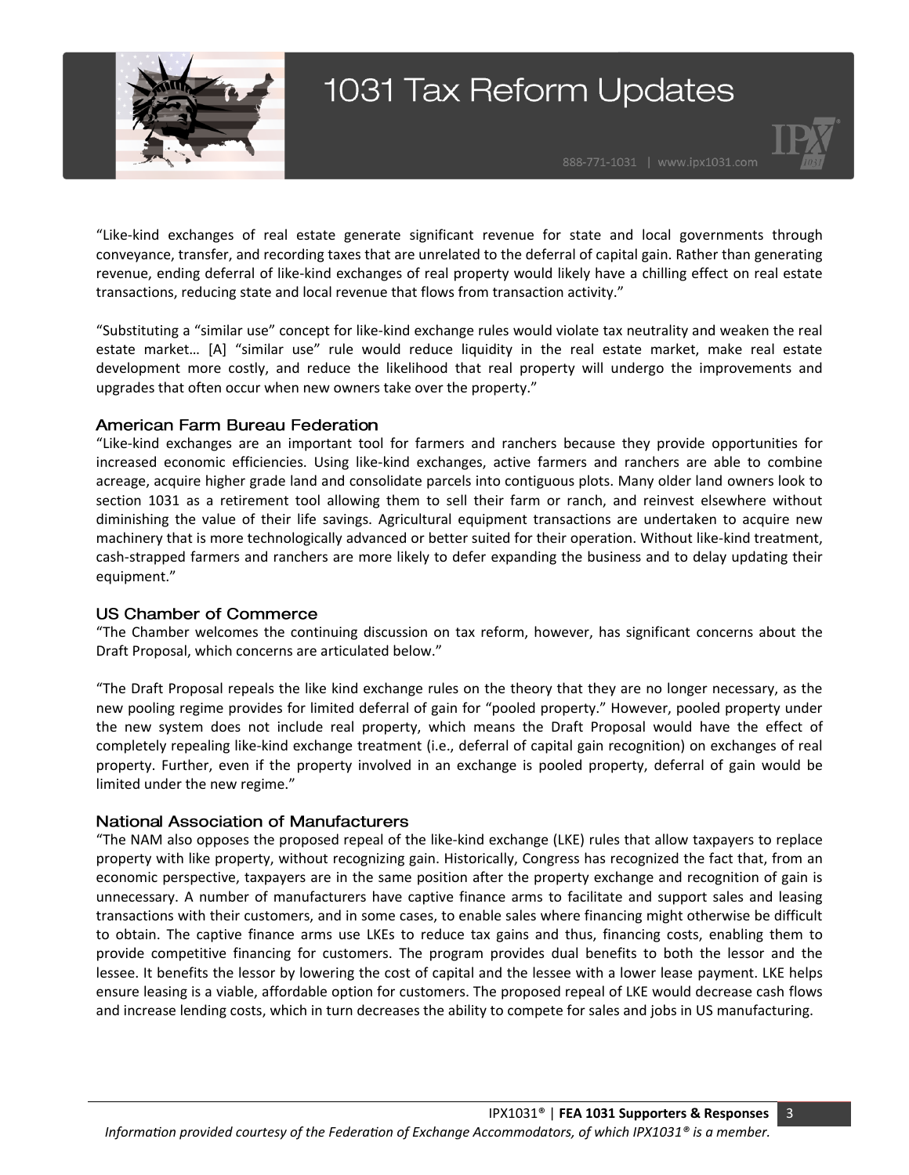



"Like-kind exchanges of real estate generate significant revenue for state and local governments through conveyance, transfer, and recording taxes that are unrelated to the deferral of capital gain. Rather than generating revenue, ending deferral of like-kind exchanges of real property would likely have a chilling effect on real estate transactions, reducing state and local revenue that flows from transaction activity."

"Substituting a "similar use" concept for like-kind exchange rules would violate tax neutrality and weaken the real estate market… [A] "similar use" rule would reduce liquidity in the real estate market, make real estate development more costly, and reduce the likelihood that real property will undergo the improvements and upgrades that often occur when new owners take over the property."

#### **American Farm Bureau Federation**

"Like-kind exchanges are an important tool for farmers and ranchers because they provide opportunities for increased economic efficiencies. Using like-kind exchanges, active farmers and ranchers are able to combine acreage, acquire higher grade land and consolidate parcels into contiguous plots. Many older land owners look to section 1031 as a retirement tool allowing them to sell their farm or ranch, and reinvest elsewhere without diminishing the value of their life savings. Agricultural equipment transactions are undertaken to acquire new machinery that is more technologically advanced or better suited for their operation. Without like-kind treatment, cash-strapped farmers and ranchers are more likely to defer expanding the business and to delay updating their equipment."

#### **US Chamber of Commerce**

"The Chamber welcomes the continuing discussion on tax reform, however, has significant concerns about the Draft Proposal, which concerns are articulated below."

"The Draft Proposal repeals the like kind exchange rules on the theory that they are no longer necessary, as the new pooling regime provides for limited deferral of gain for "pooled property." However, pooled property under the new system does not include real property, which means the Draft Proposal would have the effect of completely repealing like-kind exchange treatment (i.e., deferral of capital gain recognition) on exchanges of real property. Further, even if the property involved in an exchange is pooled property, deferral of gain would be limited under the new regime."

#### **National Association of Manufacturers**

"The NAM also opposes the proposed repeal of the like-kind exchange (LKE) rules that allow taxpayers to replace property with like property, without recognizing gain. Historically, Congress has recognized the fact that, from an economic perspective, taxpayers are in the same position after the property exchange and recognition of gain is unnecessary. A number of manufacturers have captive finance arms to facilitate and support sales and leasing transactions with their customers, and in some cases, to enable sales where financing might otherwise be difficult to obtain. The captive finance arms use LKEs to reduce tax gains and thus, financing costs, enabling them to provide competitive financing for customers. The program provides dual benefits to both the lessor and the lessee. It benefits the lessor by lowering the cost of capital and the lessee with a lower lease payment. LKE helps ensure leasing is a viable, affordable option for customers. The proposed repeal of LKE would decrease cash flows and increase lending costs, which in turn decreases the ability to compete for sales and jobs in US manufacturing.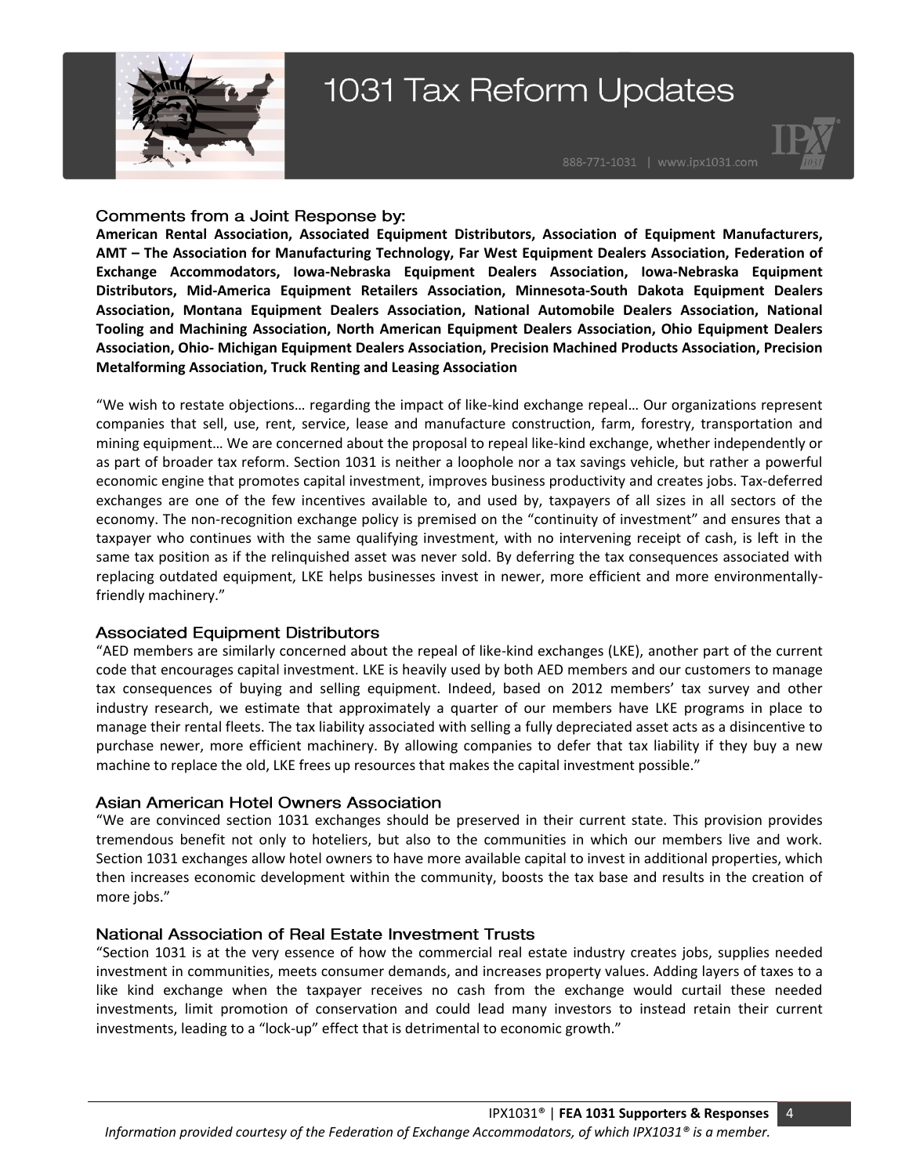



#### Comments from a Joint Response by:

**American Rental Association, Associated Equipment Distributors, Association of Equipment Manufacturers, AMT – The Association for Manufacturing Technology, Far West Equipment Dealers Association, Federation of Exchange Accommodators, Iowa-Nebraska Equipment Dealers Association, Iowa-Nebraska Equipment Distributors, Mid-America Equipment Retailers Association, Minnesota-South Dakota Equipment Dealers Association, Montana Equipment Dealers Association, National Automobile Dealers Association, National Tooling and Machining Association, North American Equipment Dealers Association, Ohio Equipment Dealers Association, Ohio- Michigan Equipment Dealers Association, Precision Machined Products Association, Precision Metalforming Association, Truck Renting and Leasing Association**

"We wish to restate objections… regarding the impact of like-kind exchange repeal… Our organizations represent companies that sell, use, rent, service, lease and manufacture construction, farm, forestry, transportation and mining equipment… We are concerned about the proposal to repeal like-kind exchange, whether independently or as part of broader tax reform. Section 1031 is neither a loophole nor a tax savings vehicle, but rather a powerful economic engine that promotes capital investment, improves business productivity and creates jobs. Tax-deferred exchanges are one of the few incentives available to, and used by, taxpayers of all sizes in all sectors of the economy. The non-recognition exchange policy is premised on the "continuity of investment" and ensures that a taxpayer who continues with the same qualifying investment, with no intervening receipt of cash, is left in the same tax position as if the relinquished asset was never sold. By deferring the tax consequences associated with replacing outdated equipment, LKE helps businesses invest in newer, more efficient and more environmentallyfriendly machinery."

#### **Associated Equipment Distributors**

"AED members are similarly concerned about the repeal of like-kind exchanges (LKE), another part of the current code that encourages capital investment. LKE is heavily used by both AED members and our customers to manage tax consequences of buying and selling equipment. Indeed, based on 2012 members' tax survey and other industry research, we estimate that approximately a quarter of our members have LKE programs in place to manage their rental fleets. The tax liability associated with selling a fully depreciated asset acts as a disincentive to purchase newer, more efficient machinery. By allowing companies to defer that tax liability if they buy a new machine to replace the old, LKE frees up resources that makes the capital investment possible."

#### **Asian American Hotel Owners Association**

"We are convinced section 1031 exchanges should be preserved in their current state. This provision provides tremendous benefit not only to hoteliers, but also to the communities in which our members live and work. Section 1031 exchanges allow hotel owners to have more available capital to invest in additional properties, which then increases economic development within the community, boosts the tax base and results in the creation of more jobs."

#### National Association of Real Estate Investment Trusts

"Section 1031 is at the very essence of how the commercial real estate industry creates jobs, supplies needed investment in communities, meets consumer demands, and increases property values. Adding layers of taxes to a like kind exchange when the taxpayer receives no cash from the exchange would curtail these needed investments, limit promotion of conservation and could lead many investors to instead retain their current investments, leading to a "lock-up" effect that is detrimental to economic growth."